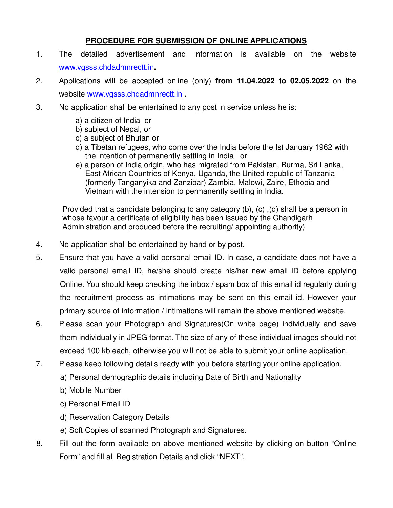## **PROCEDURE FOR SUBMISSION OF ONLINE APPLICATIONS**

- 1. The detailed advertisement and information is available on the website www.vgsss.chdadmnrectt.in**.**
- 2. Applications will be accepted online (only) **from 11.04.2022 to 02.05.2022** on the website www.vgsss.chdadmnrectt.in **.**
- 3. No application shall be entertained to any post in service unless he is:
	- a) a citizen of India or
	- b) subject of Nepal, or
	- c) a subject of Bhutan or
	- d) a Tibetan refugees, who come over the India before the Ist January 1962 with the intention of permanently settling in India or
	- e) a person of India origin, who has migrated from Pakistan, Burma, Sri Lanka, East African Countries of Kenya, Uganda, the United republic of Tanzania (formerly Tanganyika and Zanzibar) Zambia, Malowi, Zaire, Ethopia and Vietnam with the intension to permanently settling in India.

Provided that a candidate belonging to any category (b), (c) ,(d) shall be a person in whose favour a certificate of eligibility has been issued by the Chandigarh Administration and produced before the recruiting/ appointing authority)

- 4. No application shall be entertained by hand or by post.
- 5. Ensure that you have a valid personal email ID. In case, a candidate does not have a valid personal email ID, he/she should create his/her new email ID before applying Online. You should keep checking the inbox / spam box of this email id regularly during the recruitment process as intimations may be sent on this email id. However your primary source of information / intimations will remain the above mentioned website.
- 6. Please scan your Photograph and Signatures(On white page) individually and save them individually in JPEG format. The size of any of these individual images should not exceed 100 kb each, otherwise you will not be able to submit your online application.
- 7. Please keep following details ready with you before starting your online application.
	- a) Personal demographic details including Date of Birth and Nationality
	- b) Mobile Number
	- c) Personal Email ID
	- d) Reservation Category Details
	- e) Soft Copies of scanned Photograph and Signatures.
- 8. Fill out the form available on above mentioned website by clicking on button "Online Form" and fill all Registration Details and click "NEXT".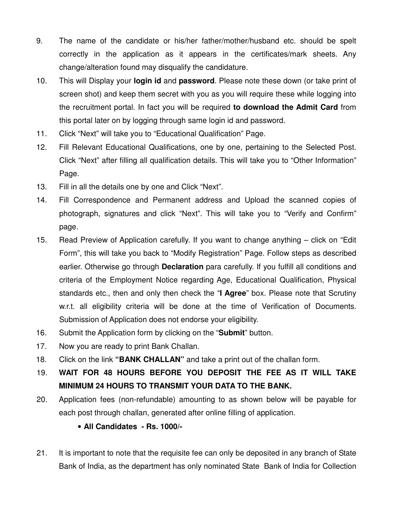- 9. The name of the candidate or his/her father/mother/husband etc. should be spelt correctly in the application as it appears in the certificates/mark sheets. Any change/alteration found may disqualify the candidature.
- 10. This will Display your **login id** and **password**. Please note these down (or take print of screen shot) and keep them secret with you as you will require these while logging into the recruitment portal. In fact you will be required **to download the Admit Card** from this portal later on by logging through same login id and password.
- 11. Click "Next" will take you to "Educational Qualification" Page.
- 12. Fill Relevant Educational Qualifications, one by one, pertaining to the Selected Post. Click "Next" after filling all qualification details. This will take you to "Other Information" Page.
- 13. Fill in all the details one by one and Click "Next".
- 14. Fill Correspondence and Permanent address and Upload the scanned copies of photograph, signatures and click "Next". This will take you to "Verify and Confirm" page.
- 15. Read Preview of Application carefully. If you want to change anything click on "Edit Form", this will take you back to "Modify Registration" Page. Follow steps as described earlier. Otherwise go through **Declaration** para carefully. If you fulfill all conditions and criteria of the Employment Notice regarding Age, Educational Qualification, Physical standards etc., then and only then check the "**I Agree**" box. Please note that Scrutiny w.r.t. all eligibility criteria will be done at the time of Verification of Documents. Submission of Application does not endorse your eligibility.
- 16. Submit the Application form by clicking on the "**Submit**" button.
- 17. Now you are ready to print Bank Challan.
- 18. Click on the link **"BANK CHALLAN"** and take a print out of the challan form.
- 19. **WAIT FOR 48 HOURS BEFORE YOU DEPOSIT THE FEE AS IT WILL TAKE MINIMUM 24 HOURS TO TRANSMIT YOUR DATA TO THE BANK.**
- 20. Application fees (non-refundable) amounting to as shown below will be payable for each post through challan, generated after online filling of application.
	- • **All Candidates Rs. 1000/-**
- 21. It is important to note that the requisite fee can only be deposited in any branch of State Bank of India, as the department has only nominated State Bank of India for Collection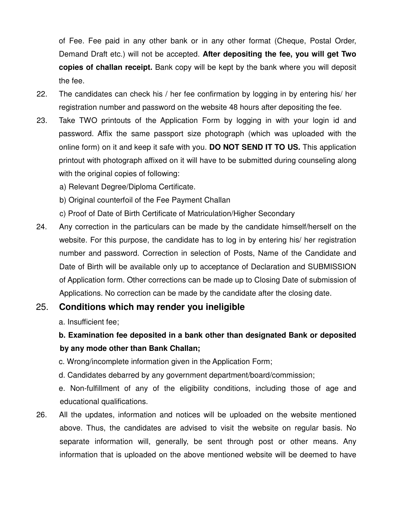of Fee. Fee paid in any other bank or in any other format (Cheque, Postal Order, Demand Draft etc.) will not be accepted. **After depositing the fee, you will get Two copies of challan receipt.** Bank copy will be kept by the bank where you will deposit the fee.

- 22. The candidates can check his / her fee confirmation by logging in by entering his/ her registration number and password on the website 48 hours after depositing the fee.
- 23. Take TWO printouts of the Application Form by logging in with your login id and password. Affix the same passport size photograph (which was uploaded with the online form) on it and keep it safe with you. **DO NOT SEND IT TO US.** This application printout with photograph affixed on it will have to be submitted during counseling along with the original copies of following:
	- a) Relevant Degree/Diploma Certificate.
	- b) Original counterfoil of the Fee Payment Challan
	- c) Proof of Date of Birth Certificate of Matriculation/Higher Secondary
- 24. Any correction in the particulars can be made by the candidate himself/herself on the website. For this purpose, the candidate has to log in by entering his/ her registration number and password. Correction in selection of Posts, Name of the Candidate and Date of Birth will be available only up to acceptance of Declaration and SUBMISSION of Application form. Other corrections can be made up to Closing Date of submission of Applications. No correction can be made by the candidate after the closing date.

## 25. **Conditions which may render you ineligible**

a. Insufficient fee;

## **b. Examination fee deposited in a bank other than designated Bank or deposited by any mode other than Bank Challan;**

- c. Wrong/incomplete information given in the Application Form;
- d. Candidates debarred by any government department/board/commission;

e. Non-fulfillment of any of the eligibility conditions, including those of age and educational qualifications.

26. All the updates, information and notices will be uploaded on the website mentioned above. Thus, the candidates are advised to visit the website on regular basis. No separate information will, generally, be sent through post or other means. Any information that is uploaded on the above mentioned website will be deemed to have